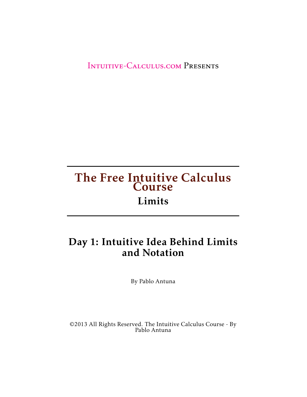[Intuitive-Calculus.com](http://www.intuitive-calculus.com) Presents

#### The Free Intuitive Calculus **Course** Limits

#### Day 1: Intuitive Idea Behind Limits and Notation

By Pablo Antuna

©2013 All Rights Reserved. The Intuitive Calculus Course - By Pablo Antuna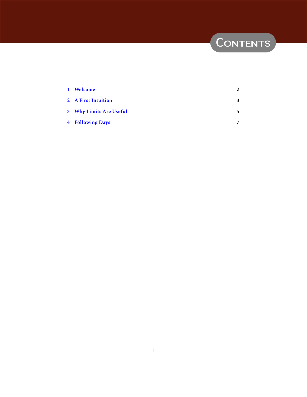# CONTENTS

| 1 Welcome               | 2  |
|-------------------------|----|
| 2 A First Intuition     | 3  |
| 3 Why Limits Are Useful | 5. |
| <b>4 Following Days</b> | 7  |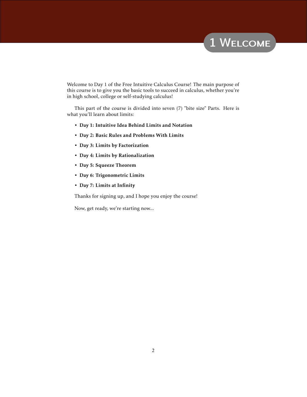## 1 WELCOME

<span id="page-2-0"></span>Welcome to Day 1 of the Free Intuitive Calculus Course! The main purpose of this course is to give you the basic tools to succeed in calculus, whether you're in high school, college or self-studying calculus!

This part of the course is divided into seven (7) "bite size" Parts. Here is what you'll learn about limits:

- Day 1: Intuitive Idea Behind Limits and Notation
- Day 2: Basic Rules and Problems With Limits
- Day 3: Limits by Factorization
- Day 4: Limits by Rationalization
- Day 5: Squeeze Theorem
- Day 6: Trigonometric Limits
- Day 7: Limits at Infinity

Thanks for signing up, and I hope you enjoy the course!

Now, get ready, we're starting now...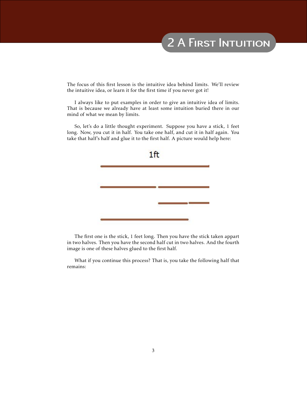# 2 A FIRST INTUITION

<span id="page-3-0"></span>The focus of this first lesson is the intuitive idea behind limits. We'll review the intuitive idea, or learn it for the first time if you never got it!

I always like to put examples in order to give an intuitive idea of limits. That is because we already have at least some intuition buried there in our mind of what we mean by limits.

So, let's do a little thought experiment. Suppose you have a stick, 1 feet long. Now, you cut it in half. You take one half, and cut it in half again. You take that half's half and glue it to the first half. A picture would help here:



The first one is the stick, 1 feet long. Then you have the stick taken appart in two halves. Then you have the second half cut in two halves. And the fourth image is one of these halves glued to the first half.

What if you continue this process? That is, you take the following half that remains: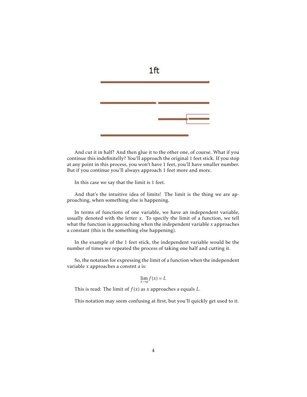

And cut it in half? And then glue it to the other one, of course. What if you continue this indefinitelly? You'll approach the original 1 feet stick. If you stop at any point in this process, you won't have 1 feet, you'll have smaller number. But if you continue you'll always approach 1 feet more and more.

In this case we say that the limit is 1 feet.

And that's the intuitive idea of limits! The limit is the thing we are approaching, when something else is happening.

In terms of functions of one variable, we have an independent variable, usually denoted with the letter *x*. To specify the limit of a function, we tell what the function is approaching when the independent variable *x* approaches a constant (this is the something else happening).

In the example of the 1 feet stick, the independent variable would be the number of times we repeated the process of taking one half and cutting it.

So, the notation for expressing the limit of a function when the independent variable *x* approaches a constnt *a* is:

$$
\lim_{x \to a} f(x) = L
$$

This is read: The limit of *f* (*x*) as *x* approaches *a* equals *L*.

This notation may seem confusing at first, but you'll quickly get used to it.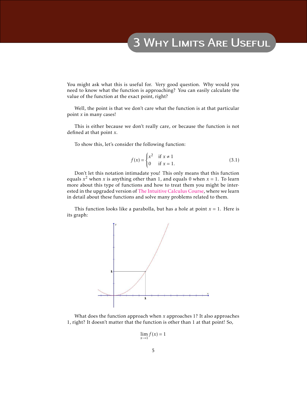### 3 Why Limits Are Useful

<span id="page-5-0"></span>You might ask what this is useful for. Very good question. Why would you need to know what the function is approaching? You can easily calculate the value of the function at the exact point, right?

Well, the point is that we don't care what the function is at that particular point *x* in many cases!

This is either because we don't really care, or because the function is not defined at that point *x*.

To show this, let's consider the following function:

$$
f(x) = \begin{cases} x^2 & \text{if } x \neq 1 \\ 0 & \text{if } x = 1. \end{cases}
$$
 (3.1)

Don't let this notation intimadate you! This only means that this function equals  $x^2$  when  $x$  is anything other than 1, and equals 0 when  $x = 1$ . To learn more about this type of functions and how to treat them you might be interested in the upgraded version of [The Intuitive Calculus Course,](http://www.intuitive-calculus.com/intuitive-calculus-course.html) where we learn in detail about these functions and solve many problems related to them.

This function looks like a parabolla, but has a hole at point  $x = 1$ . Here is its graph:



What does the function approach when *x* approaches 1? It also approaches 1, right? It doesn't matter that the function is other than 1 at that point! So,

$$
\lim_{x \to 1} f(x) = 1
$$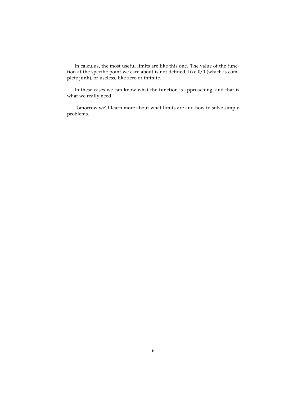In calculus, the most useful limits are like this one. The value of the function at the specific point we care about is not defined, like 0*/*0 (which is complete junk), or useless, like zero or infinite.

In these cases we can know what the function is approaching, and that is what we really need.

Tomorrow we'll learn more about what limits are and how to solve simple problems.